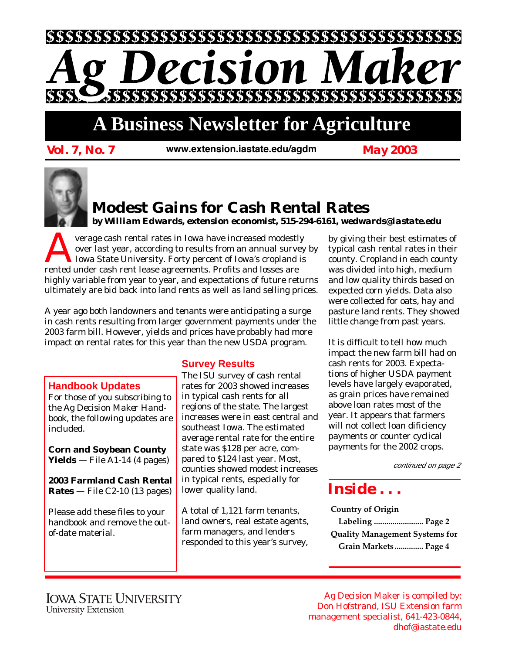

# **A Business Newsletter for Agriculture**

*Vol. 7, No. 7 May 2003 www.extension.iastate.edu/agdm*



### **Modest Gains for Cash Rental Rates**

*by William Edwards, extension economist, 515-294-6161, wedwards@iastate.edu*

Verage cash rental rates in Iowa have increased modestly<br>over last year, according to results from an annual survey<br>Iowa State University. Forty percent of Iowa's cropland is<br>rented under cash rent lease agreements. Profit over last year, according to results from an annual survey by Iowa State University. Forty percent of Iowa's cropland is rented under cash rent lease agreements. Profits and losses are highly variable from year to year, and expectations of future returns ultimately are bid back into land rents as well as land selling prices.

A year ago both landowners and tenants were anticipating a surge in cash rents resulting from larger government payments under the 2003 farm bill. However, yields and prices have probably had more impact on rental rates for this year than the new USDA program.

#### **Handbook Updates**

For those of you subscribing to the *Ag Decision Maker Handbook*, the following updates are included.

**Corn and Soybean County Yields** — File A1-14 (4 pages)

**2003 Farmland Cash Rental Rates** — File C2-10 (13 pages)

Please add these files to your handbook and remove the outof-date material.

#### **Survey Results**

The ISU survey of cash rental rates for 2003 showed increases in typical cash rents for all regions of the state. The largest increases were in east central and southeast Iowa. The estimated average rental rate for the entire state was \$128 per acre, compared to \$124 last year. Most, counties showed modest increases in typical rents, especially for lower quality land.

A total of 1,121 farm tenants, land owners, real estate agents, farm managers, and lenders responded to this year's survey, by giving their best estimates of typical cash rental rates in their county. Cropland in each county was divided into high, medium and low quality thirds based on expected corn yields. Data also were collected for oats, hay and pasture land rents. They showed little change from past years.

It is difficult to tell how much impact the new farm bill had on cash rents for 2003. Expectations of higher USDA payment levels have largely evaporated, as grain prices have remained above loan rates most of the year. It appears that farmers will not collect loan dificiency payments or counter cyclical payments for the 2002 crops.

continued on page 2

## *Inside . . .*

**Country of Origin Labeling ........................ Page 2 Quality Management Systems for Grain Markets.............. Page 4**

Ag Decision Maker is compiled by: Don Hofstrand, ISU Extension farm management specialist, 641-423-0844, dhof@iastate.edu